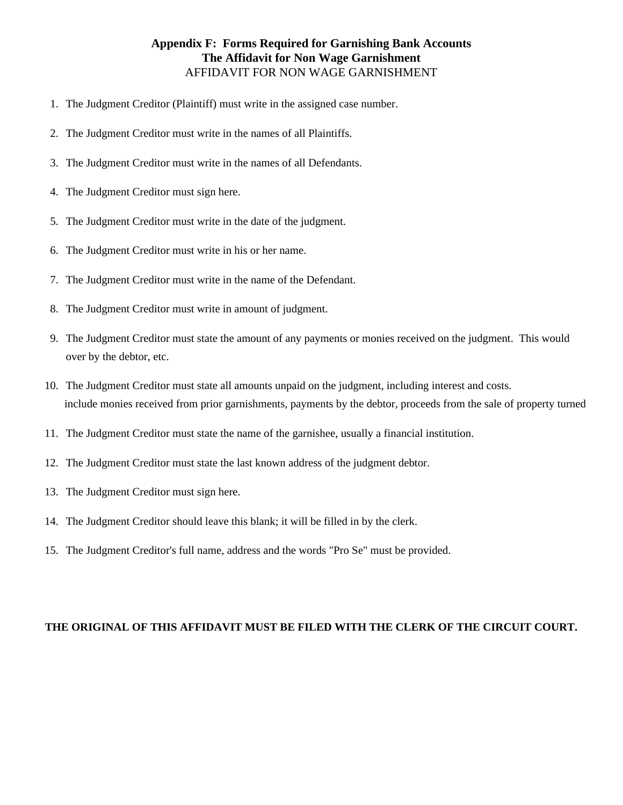## AFFIDAVIT FOR NON WAGE GARNISHMENT **Appendix F: Forms Required for Garnishing Bank Accounts The Affidavit for Non Wage Garnishment**

- 1. The Judgment Creditor (Plaintiff) must write in the assigned case number.
- 2. The Judgment Creditor must write in the names of all Plaintiffs.
- 3. The Judgment Creditor must write in the names of all Defendants.
- 4. The Judgment Creditor must sign here.
- 5. The Judgment Creditor must write in the date of the judgment.
- 6. The Judgment Creditor must write in his or her name.
- 7. The Judgment Creditor must write in the name of the Defendant.
- 8. The Judgment Creditor must write in amount of judgment.
- 9. The Judgment Creditor must state the amount of any payments or monies received on the judgment. This would over by the debtor, etc.
- include monies received from prior garnishments, payments by the debtor, proceeds from the sale of property turned 10. The Judgment Creditor must state all amounts unpaid on the judgment, including interest and costs.
- 11. The Judgment Creditor must state the name of the garnishee, usually a financial institution.
- 12. The Judgment Creditor must state the last known address of the judgment debtor.
- 13. The Judgment Creditor must sign here.
- 14. The Judgment Creditor should leave this blank; it will be filled in by the clerk.
- 15. The Judgment Creditor's full name, address and the words "Pro Se" must be provided.

## **THE ORIGINAL OF THIS AFFIDAVIT MUST BE FILED WITH THE CLERK OF THE CIRCUIT COURT.**